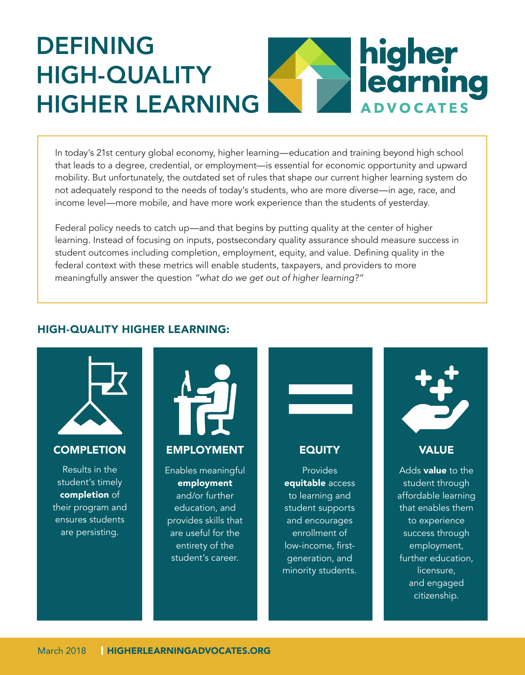# DEFINING higher<br>learning HIGH-QUALITY HIGHER LEARNING **ADVOCATES**

In today's 21st century global economy, higher learning—education and training beyond high school that leads to a degree, credential, or employment—is essential for economic opportunity and upward mobility. But unfortunately, the outdated set of rules that shape our current higher learning system do not adequately respond to the needs of today's students, who are more diverse—in age, race, and income level—more mobile, and have more work experience than the students of yesterday.

Federal policy needs to catch up—and that begins by putting quality at the center of higher learning. Instead of focusing on inputs, postsecondary quality assurance should measure success in student outcomes including completion, employment, equity, and value. Defining quality in the federal context with these metrics will enable students, taxpayers, and providers to more meaningfully answer the question *"what do we get out of higher learning?"*

## HIGH-QUALITY HIGHER LEARNING: